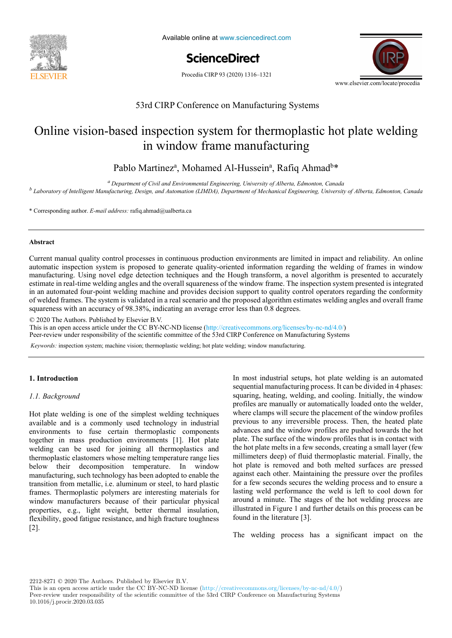

Available online at www.sciencedirect.com



Procedia CIRP 93 (2020) 1316-1321



# 53rd CIRP Conference on Manufacturing Systems 53rd CIRP Conference on Manufacturing Systems 53rd CIRP Conference on Manufacturing Systems

### Online vision-based inspection system for thermoplastic hot plate welding in window frame manufacturing in window frame manufacturing in window frame manufacturing

# Pablo Martinez<sup>a</sup>, Mohamed Al-Hussein<sup>a</sup>, Rafiq Ahmad<sup>b\*</sup>

Department of Civit and Environmental Engineering, Oniversity of Alberta, Edmonton, Canada<br><sup>b</sup> Laboratory of Intelligent Manufacturing, Design, and Automation (LIMDA), Department of Mechanical Engineering, University of Al *a Department of Civil and Environmental Engineering, University of Alberta, Edmonton, Canada* <sup>a</sup> Department of Civil and Environmental Engineering, University of Alberta, Edmonton, Canada

\* Corresponding author. *E-mail address:* rafiq.ahmad@ualberta.ca \* Corresponding author. *E-mail address:* rafiq.ahmad@ualberta.ca

### **Abstract Abstract**

**Abstract**  Current manual quality control processes in continuous production environments are limited in impact and reliability. An online manufacturing. Using novel edge detection techniques and the Hough transform, a novel algorithm is presented to accurately estimate in real-time welding angles and the overall squareness of the window frame. The inspection system presented is integrated in an automated four-point welding machine and provides decision support to quality control operators regarding the conformity of welded frames. The system is validated in a real scenario and the proposed algorithm estimates welding angles and overall frame  $\alpha$  medes and  $\alpha$  comparison and choice of  $\alpha$  200/ indication and choice of approximations for approximations for  $\alpha$  approximations for the product family comparison and choice  $\alpha$  for the productions for the produ squareness with an accuracy of 98.38%, indicating an average error less than 0.8 degrees. Current manual quality control processes in continuous production environments are limited in impact and reliability. An online automatic inspection system is proposed to generate quality-oriented information regarding the welding of frames in window

example of a nail-clipper is used to explain the proposed methodology. An industrial case study on two product families of steering columns of

© 2020 The Authors. Published by Elsevier B.V.

This is an open access article under the CC BY-NC-ND license (http://creativecommons.org/licenses/by-nc-nd/4.0/) Peer-review under responsibility of the scientific committee of the 53rd CIRP Conference on Manufacturing Systems

Keywords: inspection system; machine vision; thermoplastic welding; hot plate welding; window manufacturing. *Keywords:* inspection system; machine vision; thermoplastic welding; hot plate welding; window manufacturing.

#### **1. Introduction 1. Introduction**

## *Keywords:* Assembly; Design method; Family identification *1.1. Background 1.1. Background*

**1. Introduction and is a commonly used technology in industrial** welding can be used for joining all thermoplastics and thermoplastic elastomers whose melting temperature range lies below their decomposition temperature. In window manufacturing, such technology has been adopted to enable the transition from metallic, i.e. aluminum or steel, to hard plastic transition from metallic, i.e. aluminum or steel, to hard plastic frames. Thermoplastic polymers are interesting materials for window manufacturers because of their particular physical properties, e.g., light weight, better thermal insulation, flexibility, good fatigue resistance, and high fracture toughness  $\lfloor 2 \rfloor$ . Hot plate welding is one of the simplest welding techniques  $a$ vailable and is a commonly used technology in industrial together in mass production environments [1]. Hot plate [2]. following fatigue resistance, and high fracture to  $\frac{1}{2}$  $\mathbf{r}$ 

1. Introduction **Exercice 2018** In most industrial setups, hot plate welding is an automated advances and the window profiles are pushed towards the hot plate. The surface of the window profiles that is in contact with  $\frac{1}{2}$ the hot plate melts in a few seconds, creating a small layer (few millimeters deep) of fluid thermoplastic material. Finally, the hot plate is removed and both melted surfaces are pressed against each other. Maintaining the pressure over the profiles for a few seconds secures the welding process and to ensure a  $\frac{1}{2}$ lasting weld performance the weld is left to cool down for around a minute. The stages of the hot welding process are illustrated in Figure 1 and further details on this process can be found in the literature [3]. sequential manufacturing process. It can be divided in 4 phases: squaring, heating, welding, and cooling. Initially, the window squaring, heating, welding, and cooling. Initially, the window profiles are manually or automatically loaded onto the welder, profiles are manually to automatically control the methods, where clamps will secure the placement of the window profiles previous to any irreversible process. Then, the heated plate found in the literature [3].

Classical methodologies considering mainly single products The welding process has a significant impact on the

 $2212-8271$  © 2020 The Authors. Published by Elsevier B.V.

This is an open access article under the CC BY-NC-ND license (http://creativecommons.org/licenses/by-nc-nd/4.0/)

Peer-review under responsibility of the scientific committee of the 53rd CIRP Conference on Manufacturing Systems 10.1016/j.procir.2020.03.035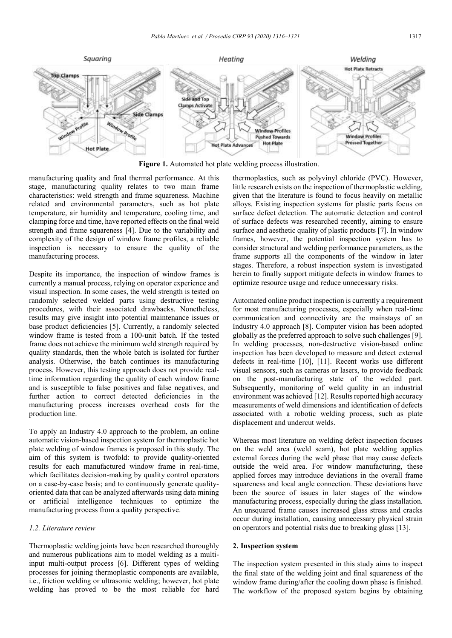

**Figure 1.** Automated hot plate welding process illustration.

manufacturing quality and final thermal performance. At this stage, manufacturing quality relates to two main frame characteristics: weld strength and frame squareness. Machine related and environmental parameters, such as hot plate temperature, air humidity and temperature, cooling time, and clamping force and time, have reported effects on the final weld strength and frame squareness [4]. Due to the variability and complexity of the design of window frame profiles, a reliable inspection is necessary to ensure the quality of the manufacturing process.

Despite its importance, the inspection of window frames is currently a manual process, relying on operator experience and visual inspection. In some cases, the weld strength is tested on randomly selected welded parts using destructive testing procedures, with their associated drawbacks. Nonetheless, results may give insight into potential maintenance issues or base product deficiencies [5]. Currently, a randomly selected window frame is tested from a 100-unit batch. If the tested frame does not achieve the minimum weld strength required by quality standards, then the whole batch is isolated for further analysis. Otherwise, the batch continues its manufacturing process. However, this testing approach does not provide realtime information regarding the quality of each window frame and is susceptible to false positives and false negatives, and further action to correct detected deficiencies in the manufacturing process increases overhead costs for the production line.

To apply an Industry 4.0 approach to the problem, an online automatic vision-based inspection system for thermoplastic hot plate welding of window frames is proposed in this study. The aim of this system is twofold: to provide quality-oriented results for each manufactured window frame in real-time, which facilitates decision-making by quality control operators on a case-by-case basis; and to continuously generate qualityoriented data that can be analyzed afterwards using data mining or artificial intelligence techniques to optimize the manufacturing process from a quality perspective.

#### *1.2. Literature review*

Thermoplastic welding joints have been researched thoroughly and numerous publications aim to model welding as a multiinput multi-output process [6]. Different types of welding processes for joining thermoplastic components are available, i.e., friction welding or ultrasonic welding; however, hot plate welding has proved to be the most reliable for hard

thermoplastics, such as polyvinyl chloride (PVC). However, little research exists on the inspection of thermoplastic welding, given that the literature is found to focus heavily on metallic alloys. Existing inspection systems for plastic parts focus on surface defect detection. The automatic detection and control of surface defects was researched recently, aiming to ensure surface and aesthetic quality of plastic products [7]. In window frames, however, the potential inspection system has to consider structural and welding performance parameters, as the frame supports all the components of the window in later stages. Therefore, a robust inspection system is investigated herein to finally support mitigate defects in window frames to optimize resource usage and reduce unnecessary risks.

Automated online product inspection is currently a requirement for most manufacturing processes, especially when real-time communication and connectivity are the mainstays of an Industry 4.0 approach [8]. Computer vision has been adopted globally as the preferred approach to solve such challenges [9]. In welding processes, non-destructive vision-based online inspection has been developed to measure and detect external defects in real-time [10], [11]. Recent works use different visual sensors, such as cameras or lasers, to provide feedback on the post-manufacturing state of the welded part. Subsequently, monitoring of weld quality in an industrial environment was achieved [12]. Results reported high accuracy measurements of weld dimensions and identification of defects associated with a robotic welding process, such as plate displacement and undercut welds.

Whereas most literature on welding defect inspection focuses on the weld area (weld seam), hot plate welding applies external forces during the weld phase that may cause defects outside the weld area. For window manufacturing, these applied forces may introduce deviations in the overall frame squareness and local angle connection. These deviations have been the source of issues in later stages of the window manufacturing process, especially during the glass installation. An unsquared frame causes increased glass stress and cracks occur during installation, causing unnecessary physical strain on operators and potential risks due to breaking glass [13].

#### **2. Inspection system**

The inspection system presented in this study aims to inspect the final state of the welding joint and final squareness of the window frame during/after the cooling down phase is finished. The workflow of the proposed system begins by obtaining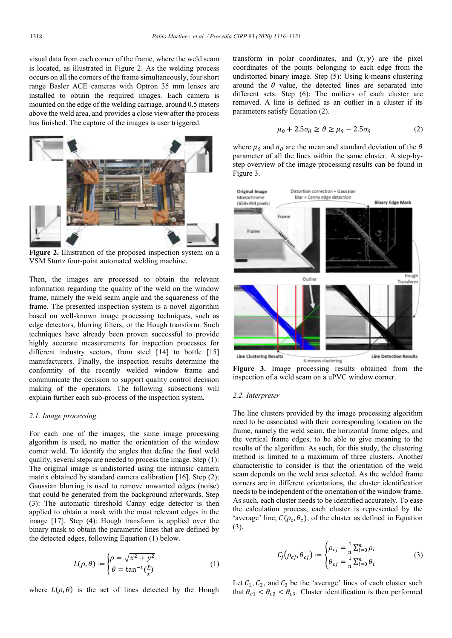visual data from each corner of the frame, where the weld seam is located, as illustrated in Figure 2. As the welding process occurs on all the corners of the frame simultaneously, four short range Basler ACE cameras with Optron 35 mm lenses are installed to obtain the required images. Each camera is mounted on the edge of the welding carriage, around 0.5 meters above the weld area, and provides a close view after the process has finished. The capture of the images is user triggered.



**Figure 2.** Illustration of the proposed inspection system on a VSM Sturtz four-point automated welding machine.

Then, the images are processed to obtain the relevant information regarding the quality of the weld on the window frame, namely the weld seam angle and the squareness of the frame. The presented inspection system is a novel algorithm based on well-known image processing techniques, such as edge detectors, blurring filters, or the Hough transform. Such techniques have already been proven successful to provide highly accurate measurements for inspection processes for different industry sectors, from steel [14] to bottle [15] manufacturers. Finally, the inspection results determine the conformity of the recently welded window frame and communicate the decision to support quality control decision making of the operators. The following subsections will explain further each sub-process of the inspection system.

#### *2.1. Image processing*

For each one of the images, the same image processing algorithm is used, no matter the orientation of the window corner weld. To identify the angles that define the final weld quality, several steps are needed to process the image. Step (1): The original image is undistorted using the intrinsic camera matrix obtained by standard camera calibration [16]. Step (2): Gaussian blurring is used to remove unwanted edges (noise) that could be generated from the background afterwards. Step (3): The automatic threshold Canny edge detector is then applied to obtain a mask with the most relevant edges in the image [17]. Step (4): Hough transform is applied over the binary mask to obtain the parametric lines that are defined by the detected edges, following Equation (1) below.

$$
L(\rho, \theta) \coloneqq \begin{cases} \rho = \sqrt{x^2 + y^2} \\ \theta = \tan^{-1}(\frac{y}{x}) \end{cases} \tag{1}
$$

where  $L(\rho, \theta)$  is the set of lines detected by the Hough

transform in polar coordinates, and  $(x, y)$  are the pixel coordinates of the points belonging to each edge from the undistorted binary image. Step (5): Using k-means clustering around the  $\theta$  value, the detected lines are separated into different sets. Step (6): The outliers of each cluster are removed. A line is defined as an outlier in a cluster if its parameters satisfy Equation (2).

$$
\mu_{\theta} + 2.5\sigma_{\theta} \ge \theta \ge \mu_{\theta} - 2.5\sigma_{\theta} \tag{2}
$$

where  $\mu_{\theta}$  and  $\sigma_{\theta}$  are the mean and standard deviation of the  $\theta$ parameter of all the lines within the same cluster. A step-bystep overview of the image processing results can be found in Figure 3.



**Figure 3.** Image processing results obtained from the inspection of a weld seam on a uPVC window corner.

#### *2.2. Interpreter*

The line clusters provided by the image processing algorithm need to be associated with their corresponding location on the frame, namely the weld seam, the horizontal frame edges, and the vertical frame edges, to be able to give meaning to the results of the algorithm. As such, for this study, the clustering method is limited to a maximum of three clusters. Another characteristic to consider is that the orientation of the weld seam depends on the weld area selected. As the welded frame corners are in different orientations, the cluster identification needs to be independent of the orientation of the window frame. As such, each cluster needs to be identified accurately. To ease the calculation process, each cluster is represented by the 'average' line,  $C(\rho_c, \theta_c)$ , of the cluster as defined in Equation (3).

$$
C_j(\rho_{cj}, \theta_{cj}) \coloneqq \begin{cases} \rho_{cj} = \frac{1}{n} \sum_{i=0}^n \rho_i \\ \theta_{cj} = \frac{1}{n} \sum_{i=0}^n \theta_i \end{cases} \tag{3}
$$

Let  $C_1$ ,  $C_2$ , and  $C_3$  be the 'average' lines of each cluster such that  $\theta_{c1} < \theta_{c2} < \theta_{c3}$ . Cluster identification is then performed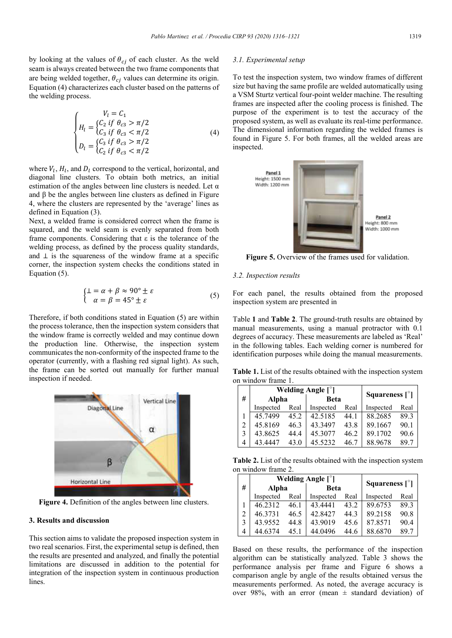by looking at the values of  $\theta_{cj}$  of each cluster. As the weld seam is always created between the two frame components that are being welded together,  $\theta_{ci}$  values can determine its origin. Equation (4) characterizes each cluster based on the patterns of the welding process.

$$
\begin{cases}\nV_l = C_1 \\
H_l = \begin{cases}\nC_2 & \text{if } \theta_{c3} > \pi/2 \\
C_3 & \text{if } \theta_{c3} < \pi/2\n\end{cases} \\
D_l = \begin{cases}\nC_3 & \text{if } \theta_{c3} > \pi/2 \\
C_2 & \text{if } \theta_{c3} < \pi/2\n\end{cases}\n\end{cases} (4)
$$

where  $V_l$ ,  $H_l$ , and  $D_l$  correspond to the vertical, horizontal, and diagonal line clusters. To obtain both metrics, an initial estimation of the angles between line clusters is needed. Let  $\alpha$ and  $\beta$  be the angles between line clusters as defined in Figure 4, where the clusters are represented by the 'average' lines as defined in Equation (3).

Next, a welded frame is considered correct when the frame is squared, and the weld seam is evenly separated from both frame components. Considering that ε is the tolerance of the welding process, as defined by the process quality standards, and ⊥ is the squareness of the window frame at a specific corner, the inspection system checks the conditions stated in Equation (5).

$$
\begin{cases} \bot = \alpha + \beta \approx 90^{\circ} \pm \varepsilon \\ \alpha = \beta = 45^{\circ} \pm \varepsilon \end{cases} \tag{5}
$$

Therefore, if both conditions stated in Equation (5) are within the process tolerance, then the inspection system considers that the window frame is correctly welded and may continue down the production line. Otherwise, the inspection system communicates the non-conformity of the inspected frame to the operator (currently, with a flashing red signal light). As such, the frame can be sorted out manually for further manual inspection if needed.



**Figure 4.** Definition of the angles between line clusters.

#### **3. Results and discussion**

This section aims to validate the proposed inspection system in two real scenarios. First, the experimental setup is defined, then the results are presented and analyzed, and finally the potential limitations are discussed in addition to the potential for integration of the inspection system in continuous production lines.

#### *3.1. Experimental setup*

To test the inspection system, two window frames of different size but having the same profile are welded automatically using a VSM Sturtz vertical four-point welder machine. The resulting frames are inspected after the cooling process is finished. The purpose of the experiment is to test the accuracy of the proposed system, as well as evaluate its real-time performance. The dimensional information regarding the welded frames is found in Figure 5. For both frames, all the welded areas are inspected.



Figure 5. Overview of the frames used for validation.

#### *3.2. Inspection results*

For each panel, the results obtained from the proposed inspection system are presented in

Table **1** and **Table 2**. The ground-truth results are obtained by manual measurements, using a manual protractor with 0.1 degrees of accuracy. These measurements are labeled as 'Real' in the following tables. Each welding corner is numbered for identification purposes while doing the manual measurements.

**Table 1.** List of the results obtained with the inspection system on window frame 1.

|   | Welding Angle [ <sup>°</sup> ] |      |           |      | Squareness [ <sup>o</sup> ] |      |
|---|--------------------------------|------|-----------|------|-----------------------------|------|
| # | Alpha                          |      | Beta      |      |                             |      |
|   | Inspected                      | Real | Inspected | Real | Inspected                   | Real |
|   | 45.7499                        | 45.2 | 42.5185   | 44.1 | 88.2685                     | 89.3 |
| 2 | 45.8169                        | 46.3 | 43.3497   | 43.8 | 89.1667                     | 90.1 |
| 3 | 43.8625                        | 44.4 | 45 3077   | 46.2 | 89.1702                     | 90.6 |
| 4 | 43 4447                        | 43.0 | 45.5232   | 46.7 | 88.9678                     | 89.7 |

**Table 2.** List of the results obtained with the inspection system on window frame 2.

|                | Welding Angle $\lceil \degree \rceil$ |      |           |      |                             |      |
|----------------|---------------------------------------|------|-----------|------|-----------------------------|------|
| #              | <b>Alpha</b>                          |      | Beta      |      | Squareness [ <sup>o</sup> ] |      |
|                | Inspected                             | Real | Inspected | Real | Inspected                   | Real |
|                | 46.2312                               | 46.1 | 43 4441   | 43.2 | 89.6753                     | 89.3 |
| $\overline{c}$ | 46.3731                               | 46.5 | 42.8427   | 44.3 | 89.2158                     | 90.8 |
| 3              | 43.9552                               | 44.8 | 43 9019   | 45.6 | 87.8571                     | 90.4 |
| 4              | 44.6374                               | 45.1 | 44.0496   | 44.6 | 88.6870                     | 89.7 |

Based on these results, the performance of the inspection algorithm can be statistically analyzed. Table 3 shows the performance analysis per frame and Figure 6 shows a comparison angle by angle of the results obtained versus the measurements performed. As noted, the average accuracy is over 98%, with an error (mean  $\pm$  standard deviation) of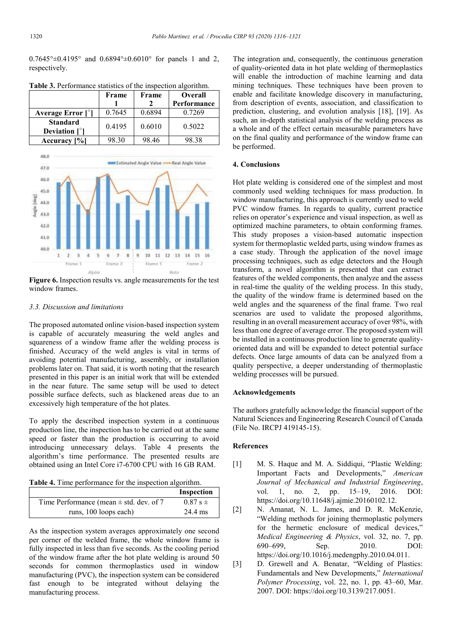$0.7645^{\circ} \pm 0.4195^{\circ}$  and  $0.6894^{\circ} \pm 0.6010^{\circ}$  for panels 1 and 2, respectively.

|                                       | Frame  | Frame  | <b>Overall</b> |
|---------------------------------------|--------|--------|----------------|
|                                       |        |        | Performance    |
| Average Error $\lceil \degree \rceil$ | 0.7645 | 0.6894 | 0.7269         |
| <b>Standard</b>                       | 0.4195 | 0.6010 | 0.5022         |
| Deviation $\lceil \degree \rceil$     |        |        |                |
| Accuracy [%]                          | 98.30  | 98.46  | 98 38          |

**Table 3.** Performance statistics of the inspection algorithm.



**Figure 6.** Inspection results vs. angle measurements for the test window frames.

#### *3.3. Discussion and limitations*

The proposed automated online vision-based inspection system is capable of accurately measuring the weld angles and squareness of a window frame after the welding process is finished. Accuracy of the weld angles is vital in terms of avoiding potential manufacturing, assembly, or installation problems later on. That said, it is worth noting that the research presented in this paper is an initial work that will be extended in the near future. The same setup will be used to detect possible surface defects, such as blackened areas due to an excessively high temperature of the hot plates.

To apply the described inspection system in a continuous production line, the inspection has to be carried out at the same speed or faster than the production is occurring to avoid introducing unnecessary delays. Table 4 presents the algorithm's time performance. The presented results are obtained using an Intel Core i7-6700 CPU with 16 GB RAM.

**Table 4.** Time performance for the inspection algorithm.

|                                             | Inspection     |
|---------------------------------------------|----------------|
| Time Performance (mean $\pm$ std. dev. of 7 | $0.87$ s $\pm$ |
| runs, 100 loops each)                       | 24.4 ms        |

As the inspection system averages approximately one second per corner of the welded frame, the whole window frame is fully inspected in less than five seconds. As the cooling period of the window frame after the hot plate welding is around 50 seconds for common thermoplastics used in window manufacturing (PVC), the inspection system can be considered fast enough to be integrated without delaying the manufacturing process.

The integration and, consequently, the continuous generation of quality-oriented data in hot plate welding of thermoplastics will enable the introduction of machine learning and data mining techniques. These techniques have been proven to enable and facilitate knowledge discovery in manufacturing, from description of events, association, and classification to prediction, clustering, and evolution analysis [18], [19]. As such, an in-depth statistical analysis of the welding process as a whole and of the effect certain measurable parameters have on the final quality and performance of the window frame can be performed.

#### **4. Conclusions**

Hot plate welding is considered one of the simplest and most commonly used welding techniques for mass production. In window manufacturing, this approach is currently used to weld PVC window frames. In regards to quality, current practice relies on operator's experience and visual inspection, as well as optimized machine parameters, to obtain conforming frames. This study proposes a vision-based automatic inspection system for thermoplastic welded parts, using window frames as a case study. Through the application of the novel image processing techniques, such as edge detectors and the Hough transform, a novel algorithm is presented that can extract features of the welded components, then analyze and the assess in real-time the quality of the welding process. In this study, the quality of the window frame is determined based on the weld angles and the squareness of the final frame. Two real scenarios are used to validate the proposed algorithms, resulting in an overall measurement accuracy of over 98%, with less than one degree of average error. The proposed system will be installed in a continuous production line to generate qualityoriented data and will be expanded to detect potential surface defects. Once large amounts of data can be analyzed from a quality perspective, a deeper understanding of thermoplastic welding processes will be pursued.

#### **Acknowledgements**

The authors gratefully acknowledge the financial support of the Natural Sciences and Engineering Research Council of Canada (File No. IRCPJ 419145-15).

#### **References**

- [1] M. S. Haque and M. A. Siddiqui, "Plastic Welding: Important Facts and Developments," *American Journal of Mechanical and Industrial Engineering*, vol. 1, no. 2, pp. 15–19, 2016. DOI: https://doi.org/10.11648/j.ajmie.20160102.12.
- [2] N. Amanat, N. L. James, and D. R. McKenzie, "Welding methods for joining thermoplastic polymers for the hermetic enclosure of medical devices," *Medical Engineering & Physics*, vol. 32, no. 7, pp. 690–699, Sep. 2010. DOI: https://doi.org/10.1016/j.medengphy.2010.04.011.
- [3] D. Grewell and A. Benatar, "Welding of Plastics: Fundamentals and New Developments," *International Polymer Processing*, vol. 22, no. 1, pp. 43–60, Mar. 2007. DOI: https://doi.org/10.3139/217.0051.